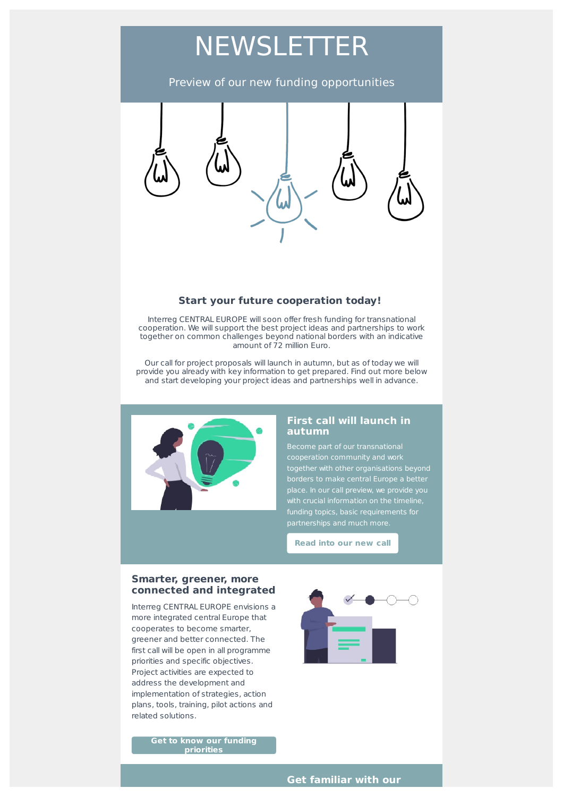# **NEWSLETTER**

## Preview of our new funding opportunities



#### **Start your future cooperation today!**

Interreg CENTRAL EUROPE will soon offer fresh funding for transnational cooperation. We will support the best project ideas and partnerships to work together on common challenges beyond national borders with an indicative amount of 72 million Euro.

Our call for project proposals will launch in autumn, but as of today we will provide you already with key information to get prepared. Find out more below and start developing your project ideas and partnerships well in advance.



#### **First call will launch in autumn**

Become part of our transnational place. In our call preview, we provide you with crucial information on the timeline, funding topics, basic requirements for

**[Read](https://www.interreg-central.eu/Content.Node/apply/newfunding.html) into our new call**

#### **Smarter, greener, more connected and integrated**

Interreg CENTRAL EUROPE envisions a more integrated central Europe that cooperates to become smarter, greener and better connected. The first call will be open in all programme priorities and specific objectives. Project activities are expected to address the development and implementation of strategies, action plans, tools, training, pilot actions and related solutions.

> **Get to know our funding [priorities](https://www.interreg-central.eu/Content.Node/apply/newfunding.html#Call_Focus)**



**Get familiar with our**